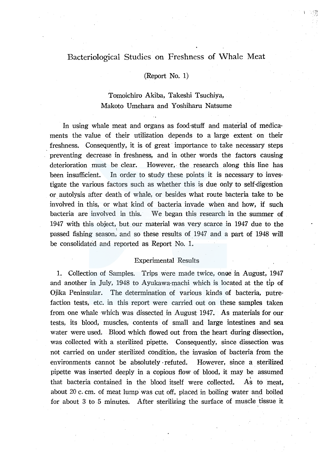# Bacteriological Studies on Freshness of Whale Meat

## (Report No. 1)

## Tomoichiro Akiba, Takeshi Tsuchiya, Makoto Umehara and Yoshiharu Natsume

In using whale meat and organs as food-stuff and material of medicaments the value of their utilization depends to a large extent on their freshness. Consequently, it is of great importance to take necessary steps preventing decrease in freshness, and in other words the factors causing deterioration must be clear. However, the research along this line has been insufficient. In order to study these points it is necessary to investigate the various factors such as whether this is due only to self-digestion or autolysis after death of whale, or besides what route bacteria take to be involved in this, or what kind of bacteria invade when and how, if such bacteria are involved in this. We began this research in the summer of 1947 with this object, but our material was very scarce in 1947 due to the passed fishing season, and so these results of 1947 and a part of 1948 will be consolidated and reported as Report No. 1.

## Experimental Results

1. Collection of Samples. Trips were made twice, onoe in August, 1947 and another in July, 1948 to Ayukawa-machi which is located at the tip of Ojika Peninsular. The determination of various kinds of bacteria, putrefaction tests, etc. in this report were carried out on these samples taken from one whale which was dissected in August 1947. As materials for our tests, its blood, muscles, contents of small and large intestines and sea water were used. Blood which flowed out from the heart during dissection, was collected with a sterilized pipette. Consequently, since dissection was not carried on under sterilized condition, the invasion of bacteria from the environments cannot be absolutely ·refuted. However, since a sterilized pipette was inserted deeply in a copious flow of blood, it may be assumed As to meat. that bacteria contained in the blood itself were collected. about 20 c. cm. of meat lump was cut off, placed in boiling water and boiled for about 3 to 5 minutes. After sterilizing the surface of muscle tissue it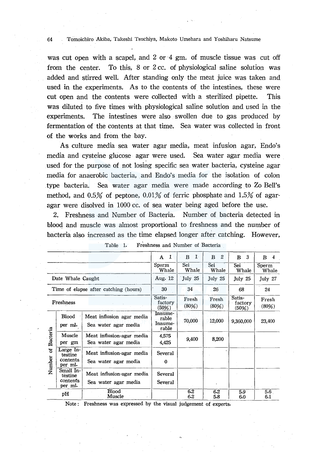#### 64 Tomoichiro Akiba, Takeshi Tsuchiya, Makoto Umehara and Yoshiharu Natsume

was cut open with a scapel, and 2 or 4 gm. of muscle tissue was cut off from the center. To this, 8 or 2 cc. of physiological saline solution was added and stirred well. After standing only the meat juice was taken and used in the experiments. As to the contents of the intestines, these were cut open and the contents were collected with a sterilized pipette. This was diluted to five times with physiological saline solution and used in the experiments. The intestines were also swollen due to gas produced by fermentation of the contents at that time. Sea water was collected in front of the works and from the bay.

As culture media sea water agar media, meat infusion agar, Endo's media and cysteine glucose agar were used. Sea water agar media were used for the purpose of not losing specific sea water bacteria, cysteine agar media for anaerobic bacteria, and Endo's media for the isolation of colon type bacteria. Sea water agar media were made according to Zo Bell's method, and  $0.5\%$  of peptone,  $0.01\%$  of ferric phosphate and  $1.5\%$  of agaragar were disolved in 1000 cc. of sea water being aged before the use.

2. Freshness and Number of Bacteria. Number of bacteria detected in blood and muscle was almost proportional to freshness and the number of bacteria also increased as the time elapsed longer after catching. However,

|                         |                                              |                                                   | -1<br>$\mathbf{A}$                   | $\mathbf{1}$<br>$\bf{B}$ | $\mathbf{2}$<br>$\bf{B}$ | -3<br>$\bf{B}$             | В<br>4         |
|-------------------------|----------------------------------------------|---------------------------------------------------|--------------------------------------|--------------------------|--------------------------|----------------------------|----------------|
|                         |                                              |                                                   | Sperm<br>Whale                       | Sei<br>Whale             | Sei<br>Whale             | Sei<br>Whale               | Sperm<br>Whale |
|                         | Date Whale Caught                            |                                                   | Aug. $12$                            | July 25                  | July 25                  | July 25                    | July 27        |
|                         |                                              | Time of elapse after catching (hours)             | 30                                   | 34                       | 26                       | 68                         | 24             |
|                         | Freshness                                    |                                                   | Satis-<br>factory<br>(50%)           | Fresh<br>(80%)           | Fresh<br>(80%)           | Satis-<br>factory<br>(50%) | Fresh<br>(80%) |
|                         | Blood<br>per ml.                             | Meat influsion agar media<br>Sea water agar media | Innume-<br>rable<br>Innume-<br>rable | 70,000                   | 12,000                   | 9,360,000                  | 23,400         |
| Bacteria<br>ቼ<br>Number | Muscle<br>per gm                             | Meat influsion-agar media<br>Sea water agar media | 4.575<br>4,425                       | 9.400                    | 8,200                    |                            |                |
|                         | Large In-<br>testine<br>contents.<br>per ml. | Meat influsion-agar media<br>Sea water agar media | Several<br>0                         |                          |                          |                            |                |
|                         | Small In-<br>testine<br>contents<br>per ml.  | Meat influsion-agar media<br>Sea water agar media | Several<br>Several                   |                          |                          |                            |                |
|                         | pН                                           | Blood<br>Muscle                                   |                                      | 6.2<br>6.2               | 6.2<br>5.8               | 5.9<br>6.0                 | 5.6<br>6.1     |

| Freshness and Number of Bacteria | Table 1. |  |  |  |  |  |  |
|----------------------------------|----------|--|--|--|--|--|--|
|----------------------------------|----------|--|--|--|--|--|--|

Note : Freshness was expressed by the visual judgement of experts.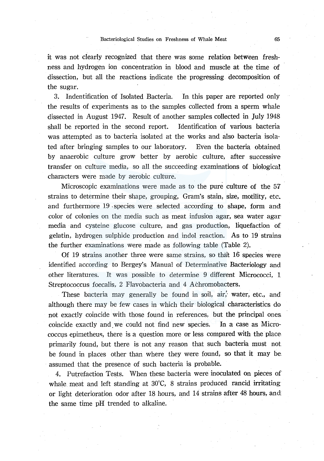it was not clearly recognized that there was some relation between freshness and hydrogen ion concentration in blood and muscle at the time of dissection, but all the reactions indicate the progressing decomposition of the sugar.

3. Indentification of Isolated Bacteria. In this paper are reported only the results of experiments as to the samples collected from a sperm whale dissected in August 1947. Result of another samples collected in July 1948 shall be reported in the second report. Identification of various bacteria was attempted as to bacteria isolated at the works and also bacteria isolated after bringing samples to our laboratory. Even the bacteria obtained by anaerobic culture grow better by aerobic culture, after successive transfer on culture media, so all the succeeding examinations of biological characters were made by aerobic culture.

Microscopic examinations were made as to the pure culture of the 57 strains to determine their shape, grouping, Gram's stain, size, motility, etc. and furthermore 19 species were selected according to shape, form and color of colonies on the media such as meat infusion agar, sea water agar media and cysteine glucose culture, and gas production, liquefaction of gelatin, hydrogen sulphide production and indol reaction. As to 19 strains the further examinations were made as following table (Table 2).

Of 19 strains another three were same strains, so that 16 species were identified according to Bergey's Manual of Determinative Bacteriology and other literatures. It was possible to determine 9 different Micrococci, 1 Streptococcus foecalis, 2 Flavobacteria and 4 Achromobacters.

These bacteria may generally be found in soil, air, water, etc., and although there may be few cases in which their biological characteristics do not exactly coincide with those found in references, but the principal ones coincide exactly and we could not find new species. In a case as Micrococcus epimetheus, there is a question more or less compared with the place primarily found, but there is not any reason that such bacteria must not be found in places other than where they were found, so that it may be assumed that the presence of such bacteria is probable.

4. Putrefaction Tests. When these bacteria were inoculated on pieces of whale meat and left standing at 30°C, 8 strains produced rancid irritating or light deterioration odor after 18 hours, and 14 strains after 48 hours, and the same time pH trended to alkaline.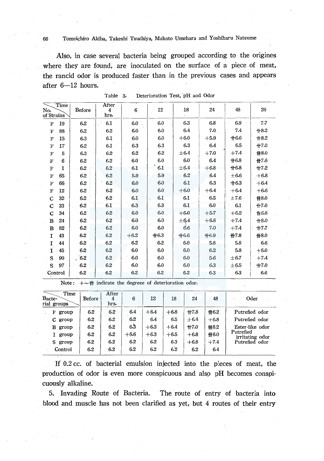## 66 Tomoichiro Akiba, Takeshi Tsuchiya, Makoto Umehara and Yoshiharu Natsume

Also, in case several bacteria being grouped according to the origines where they are found, are inoculated on the surface of a piece of meat, the rancid odor is produced faster than in the previous cases and appears after  $6-12$  hours.

| Time<br>No.<br>of Strains      | Before  | After<br>4<br>hrs. | 6      | 12     | 18        | 24     | 48        | 26     |
|--------------------------------|---------|--------------------|--------|--------|-----------|--------|-----------|--------|
| 19<br>$\mathbf F$              | 6.2     | 6.1                | 6.0    | 6.0    | 6.3       | 6.8    | 6.9       | 7.7    |
| 88<br>F                        | 6.2     | 6.2                | 6.0    | 6.0    | 6.4       | 7.0    | 7.4       | $+8.2$ |
| 15<br>$\mathbf{F} \cdot$       | 6.3     | 6.1                | 6.0    | 6.0    | $+6.0$    | $+5.9$ | $+6.6$    | $+8.2$ |
| 17<br>$\mathbf F$              | 6.2     | 6.1                | 6.3    | 6.3    | 6.3       | 6.4    | 6.5       | $+7.0$ |
| 5<br>$\mathbf F$               | 6.3     | 6.2                | 6.2    | 6.2    | ± 6.4     | $+7.0$ | $+7.4$    | #8.0   |
| 6<br>$\boldsymbol{\mathrm{F}}$ | 6.2     | 6.2                | 6.0    | 6.0    | 6.0       | 6.4    | $+6.8$    | ₩7.6   |
| 1<br>$_{\rm F}$                | $6.2\,$ | 6.2                | 6.1    | 6.1    | $\pm 6.4$ | $+6.8$ | $+6.8$    | $+7.2$ |
| 65<br>$\mathbf F$              | $6.2 -$ | 6.2                | 5.9    | 5.9    | 6.2       | 6.4    | $\pm 6.6$ | $+6.8$ |
| 66<br>$\mathbf F$              | 6.2     | 6.2                | 6.0    | 6.0    | $6-1$     | 6.3    | $+6.3$    | $+6.4$ |
| 12<br>F                        | 6.2     | 6.2                | 6.0    | 6.0    | $+6.0$    | $+6.4$ | $+6.4$    | $+6.6$ |
| 32<br>С                        | 6.2     | 6.2                | 6.1    | 6.1    | 6.1       | $-6.5$ | $\pm 7.6$ | ₩8.0   |
| 33<br>C                        | 6.2     | 6.1                | 6.3    | 6.3    | 6.1       | 6.0    | 6.1       | $+7.0$ |
| 34<br>C                        | 6.2     | 6.2                | 6.0    | 6.0    | $+6.0$    | $+5.7$ | $+6.2$    | #6.8   |
| 24<br>в                        | 6.2     | 6.2                | 6.0    | 6.0    | ±6.4      | $+6.8$ | $+7.4$    | $+8.0$ |
| 82<br>B                        | 6.2     | 6.2                | 6.0    | 6.0    | 6.6       | 7.0    | $+7.4$    | $+7.7$ |
| 43<br>1                        | 6.2     | 6.2                | $+6.2$ | $+6.3$ | $+6.6$    | $+6.9$ | ₩7.8      | #8.0   |
| 44<br>1                        | 6.2     | 6.2                | 6.2    | 6.2    | 6.0       | 5.8    | 5.8       | 6.6    |
| 45<br>$\mathbf{I}$ .           | 6.2     | 6.2                | 6.0    | 6.0    | 6.0       | 6.2    | 5.8       | $+6.0$ |
| S<br>90                        | .62     | $6.2\,$            | 6.0    | 6.0    | 6.0       | 5.6    | $\pm 6.7$ | $+7.4$ |
| S<br>97                        | 6.2     | 6.2                | 6.0    | 6.0    | 6.0       | 6.3    | $\pm 6.5$ | $+7.0$ |
| Control                        | 6.2     | 6.2                | 6.2    | 6.2    | 6.2       | 6.3    | 6.3       | 6.6    |

| Table 3. |  | Deterioration Test, pH aod Odor |  |  |  |  |
|----------|--|---------------------------------|--|--|--|--|
|----------|--|---------------------------------|--|--|--|--|

|  |  |  | Note: $+\sim$ ## indicate the degreee of deterioration odor. |  |
|--|--|--|--------------------------------------------------------------|--|

| Time<br>Bacte-<br>rial groups | Before | After<br>4<br>hrs. | 6      | 12     | 18     | 24        | 48     | Oder                         |
|-------------------------------|--------|--------------------|--------|--------|--------|-----------|--------|------------------------------|
| F<br>group                    | 6.2    | 6.2                | 6.4    | $+6.4$ | $+6.8$ | #7.8      | #6.2   | Putrefied odor               |
| $C$ group                     | 6.2    | 6.2                | 6.2    | 6.4    | 6.5    | $\pm 6.4$ | $+6.8$ | Putrefied odor               |
| в<br>group                    | 6.2    | 6.2                | 6.3    | $+6.3$ | $+6.4$ | $+7.0$    | #8.2   | Ester-like odor              |
| I group                       | 6.2    | 6.2                | $+6.6$ | $+6.3$ | $+6.5$ | $+6.8$    | ₩8.0   | Putrefied<br>irritating odor |
| S group                       | 6.2    | 6.2                | 6.2    | 6.2    | 6.3    | $+6.8$    | $+7.4$ | Putrefied odor               |
| Control                       | 6.2    | 6.2                | 6.2    | 6.2    | 6.2    | 6.2       | 6.4    |                              |

*If* 0.2 cc. of bacterial emulsion injected into the p:eces of meat, the production of odor is even more conspicuous and also pH becomes conspicuously alkaline.

5. Invading Route of Bacteria. The route of entry of bacteria into . blood and muscle has not been clarified as yet, but 4 routes of their entry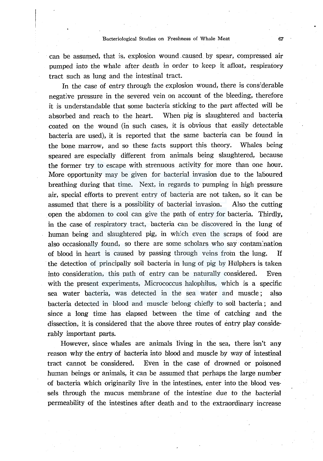can be assumed, that is, explosion wound .caused. by spear, compressed air pumped into the whale after death in order to keep it afloat, respiratory tract such as lung and the intestinal tract.

In the case of entry through the explosion wound, there is cons:derable negative pressure in the severed vein on account of the bleeding, therefore it is understandable that some bacteria sticking to the part affected will be absorbed and reach to the heart. When pig is slaughtered and bacteria coated on the wound (in such cases, it is obvious that easily detectable bacteria are used), it is reported that the same bacteria can be found in the bone marrow, and so these facts support this theory. Whales being speared are especially different from animals being slaughtered, because the former try to escape with strenuous activity for more than one hour. More opportunity may be given for bacterial invasion due to the laboured breathing during that time. Next, in regards to pumping in high pressure air, special efforts to prevent entry of bacteria are not taken, so it can be assumed that there is a possibility of bacterial invasion. Also the cutting open the abdomen to cool can give the path of entry for bacteria. Thirdly, in the case of respiratory tract, bacteria can be discovered in the lung of human being and slaughtered pig, in which even the scraps of food are also occasionally found, so there are some scholars who say contamination of blood in heart is caused by passing through veins from the lung. If the detection of principally soil bacteria in lung of pig by Htilphers is taken into consideration, this path of entry can be naturally considered. Even with the present experiments, Micrococcus halophilus, which is a specific sea water bacteria, was detected in the sea water and muscle ; also bacteria detected in blood and muscle· belong chiefly to soil bacteria; and since a long time has elapsed between the time of catching and the dissection, it is considered that the above three routes of entry play considerably important parts.

However, since whales are animals living in the sea, there isn't any reason why the entry of bacteria into blood and muscle by way of intestinal tract cannot be considered. Even in the case of drowned or poisoned human beings or animals, it can be assumed that perhaps the large number of bacteria which originarily live in the intestines, enter into the blood vessels through the mucus membrane of the intestine due to the bacterial permeability of the intestines after death and to the extraordinary increase

67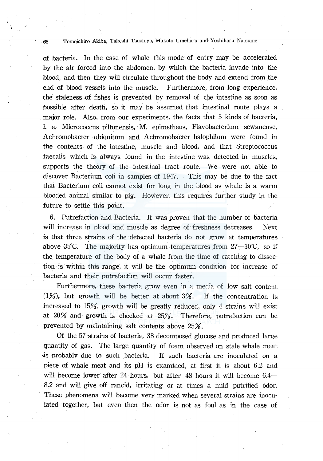## 68 Tomoichiro Akiba, Takeshi Tsuchiya, Makoto Umehara and Yoshiharu Natsume

of bacteria. In the case of whale this mode of entry maY be accelerated by the air forced into the abdomen, by which the bacteria invade into the blood, and then they will circulate throughout the body and extend from the end of blood vessels into the muscle. Furthermore, from long experience, the staleness of fishes is prevented by removal of the intestine as soon as possible after death, so it may be assumed that intestinal route plays a . major role. Also, from our experiments, the facts that 5 kinds of bacteria, i. e. Micrococcus piltonensis, M. epimetheus, Flavobacterium sewanense, Achromobacter ubiquitum and Achromoba'cter halophilum were found in the contents of the intestine, muscle and blood, and that Streptococcus faecalis which is always found in the intestine was detected in muscles, supports the theory of the intestinal tract route. We were not able to discover Bacterium coli in samples of 1947. This may be due to the fact that Bacter:um coli cannot exist for long in the blood as whale is a warm blooded animal similar to pig. However, this requires further study in the future to settle this point.

6. Putrefaction and Bacteria. It was proven that the number of bacteria will increase in blood and muscle as degree of freshness decreases. Next is that three strains of the detected bacteria do not grow at temperatures above 35°C. The majority has optimum temperatures from  $27-30^{\circ}$ C, so if the temperature of the body of a whale from the time of catching to dissection is within this range, it will be the optimum condition for increase of bacteria and their putrefaction will occur faster.

Furthermore, these bacteria grow even in a media of low salt content  $(1%)$ , but growth will be better at about  $3%$ . If the concentration is increased to 15%, growth will be greatly reduced, only 4 strains will exist at 20% and growth is checked at 25%. Therefore, putrefaction can be prevented by maintaining salt contents above 25%.

Of the 57 strains of bacteria, 38 decomposed glucose and produced large quantity of gas. The large quantity of foam observed on stale whale meat is probably due to such bacteria. If such bacteria are inoculated on a piece of whale meat and its pH is examined, at first it is about 6.2 and will become lower after 24 hours, but after 48 hours it will become 6.4-8.2 and will give off rancid, irritating or at times a mild putrified odor. These phenomena will become very marked when several strains are inoculated together, but even then the odor is not as foul as in the case of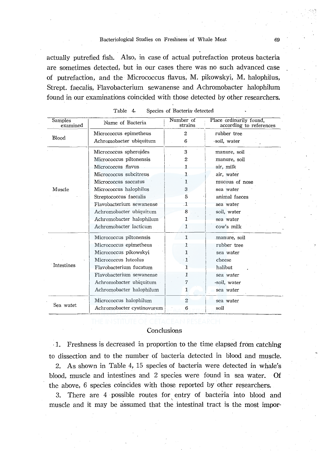actually putrefied fish. Also, in case of actual putrefaction proteus bacteria are sometimes detected, but in our cases there was no such advanced case of putrefaction, and the Micrococcus flavus, M. pikowskyi, M. halophilus, Strept. faecalis, Flavobacterium sewanense and Achromobacter halophilum found in our examinations coincided with those detected by other researchers.

| <b>Samples</b><br>examined | Name of Bacteria           | Number of<br>strains | Place ordinarily found,<br>according to references |
|----------------------------|----------------------------|----------------------|----------------------------------------------------|
|                            | Micrococcus epimetheus     | $\overline{2}$       | rubber tree                                        |
| Blood                      | Achromobacter ubiquitum    | 6                    | ·soil, water                                       |
|                            | Micrococcus spheroides     | 3                    | manure, soil                                       |
|                            | Micrococcus piltonensis    | $\overline{2}$       | manure, soil                                       |
|                            | Micrococcus flavus         | 1                    | air, milk                                          |
|                            | Micrococcus subcitreus     | $\mathbf{1}$         | air, water                                         |
|                            | Micrococcus saccatus       | 1                    | mucous of nose                                     |
| Muscle                     | Micrococcus halophilus     | 3                    | sea water                                          |
|                            | Streptococcus faecalis     | 5                    | animal faeces                                      |
|                            | Flavobacterium sewanense   | .1                   | sea water                                          |
|                            | Achromobacter ubiquitum    | 8                    | soil, water                                        |
|                            | Achromobacter halophilum   | 1                    | sea water                                          |
|                            | Achromobacter lacticum     | 1                    | cow's milk                                         |
|                            | Micrococcus piltonensis    | $\mathbf{1}$         | manure, soil                                       |
|                            | Micrococcus epimetheus     | 1                    | rubber tree                                        |
|                            | Micrococcus pikowskyi      | 1                    | sea water                                          |
|                            | Micrococcus luteolus       | - 1                  | cheese                                             |
| Intestines                 | Flavobacterium fucatum     | 1                    | halibut                                            |
|                            | Flavobacterium sewanense   | 1                    | sea water                                          |
|                            | Achromobacter ubiquitum    | 7                    | soil, water                                        |
|                            | Achromobacter halophilum   | 1                    | sea water                                          |
|                            | Micrococcus halophilum     | $\overline{2}$       | sea water                                          |
| Sea watet                  | Achromobacter cystinovorum | 6                    | soil                                               |

| Table 4. |  | Species of Bacteria detected |  |
|----------|--|------------------------------|--|
|          |  |                              |  |

## **Conclusions**

. 1. Freshness is decreased in proportion to the time elapsed from catching to dissection and to the number of bacteria detected in blood and muscle.

2. As shown in Table 4, 15 species of bacteria were detected in whale's blood, muscle and intestines and 2 species were found in sea water. Of the above, 6 species coincides with those reported by other researchers.

3. There are 4 possible routes for entry of bacteria into blood and muscle and it may be assumed that the intestinal tract is the most impor-